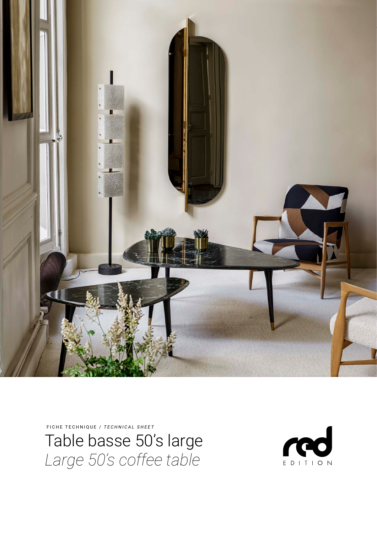

FICHE TECHNIQUE / *TECHNICAL SHEET*

Table basse 50's large *Large 50's coffee table*

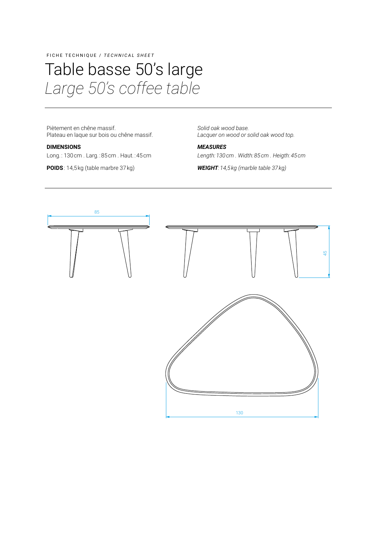FICHE TECHNIQUE / *TECHNICAL SHEET*

### Table basse 50's large *Large 50's coffee table*

Piètement en chêne massif. Plateau en laque sur bois ou chêne massif.

#### **DIMENSIONS**

Long. : 130 cm . Larg. : 85 cm . Haut. : 45 cm

**POIDS**: 14,5 kg (table marbre 37 kg)

*Solid oak wood base. Lacquer on wood or solid oak wood top.*

*MEASURES*

*Length:130cm . Width:85 cm . Heigth:45 cm*

*WEIGHT:14,5kg (marble table 37 kg)*

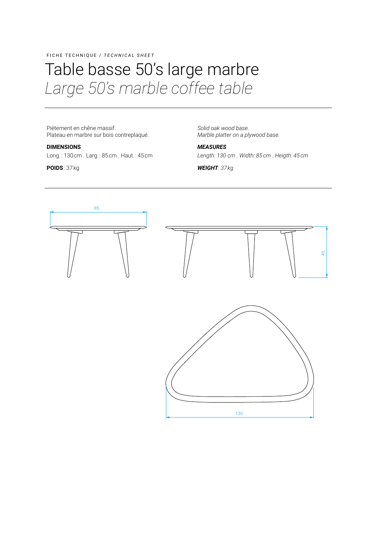### FICHE TECHNIQUE / *TECHNICAL SHEET*

# Table basse 50's large marbre *Large 50's marble coffee table*

Piètement en chêne massif. Plateau en marbre sur bois contreplaqué.

#### **DIMENSIONS**

Long. : 130 cm . Larg. : 85 cm . Haut. : 45 cm

**POIDS** : 37 kg

*Solid oak wood base. Marble platter on a plywood base.*

*MEASURES Length: 130  cm . Width: 85 cm . Heigth: 45 cm*

*WEIGHT: 37 kg*